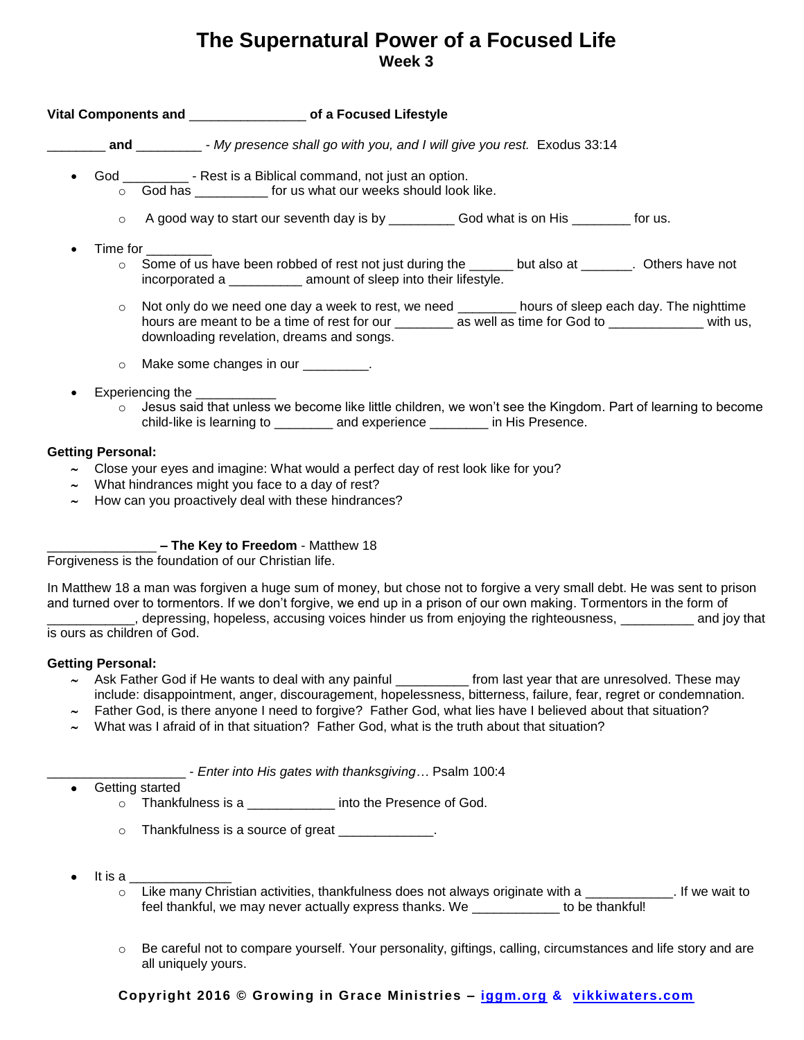# **The Supernatural Power of a Focused Life Week 3**

# **Vital Components and** \_\_\_\_\_\_\_\_\_\_\_\_\_\_\_\_ **of a Focused Lifestyle**

\_\_\_\_\_\_\_\_ **and** \_\_\_\_\_\_\_\_\_ - *My presence shall go with you, and I will give you rest.* Exodus 33:14

- God \_\_\_\_\_\_\_\_\_ Rest is a Biblical command, not just an option.
	- $\circ$  God has  $\circ$  for us what our weeks should look like.
	- $\circ$  A good way to start our seventh day is by  $\bullet$  God what is on His  $\bullet$  for us.
- Time for \_\_\_\_\_\_\_\_\_
	- o Some of us have been robbed of rest not just during the \_\_\_\_\_\_ but also at \_\_\_\_\_\_\_. Others have not incorporated a \_\_\_\_\_\_\_\_\_\_ amount of sleep into their lifestyle.
	- o Not only do we need one day a week to rest, we need \_\_\_\_\_\_\_\_ hours of sleep each day. The nighttime hours are meant to be a time of rest for our \_\_\_\_\_\_\_\_\_\_ as well as time for God to \_\_\_\_\_\_\_\_\_\_\_\_\_\_\_\_ with us, downloading revelation, dreams and songs.
	- o Make some changes in our  $\qquad \qquad$ .
- Experiencing the
	- $\circ$  Jesus said that unless we become like little children, we won't see the Kingdom. Part of learning to become child-like is learning to \_\_\_\_\_\_\_\_ and experience \_\_\_\_\_\_\_\_ in His Presence.

### **Getting Personal:**

- Close your eyes and imagine: What would a perfect day of rest look like for you?
- What hindrances might you face to a day of rest?
- $\sim$  How can you proactively deal with these hindrances?

# \_\_\_\_\_\_\_\_\_\_\_\_\_\_\_ **– The Key to Freedom** - Matthew 18

Forgiveness is the foundation of our Christian life.

In Matthew 18 a man was forgiven a huge sum of money, but chose not to forgive a very small debt. He was sent to prison and turned over to tormentors. If we don't forgive, we end up in a prison of our own making. Tormentors in the form of \_\_\_\_\_\_\_\_\_\_\_\_, depressing, hopeless, accusing voices hinder us from enjoying the righteousness, \_\_\_\_\_\_\_\_\_\_ and joy that

is ours as children of God.

#### **Getting Personal:**

- $\sim$  Ask Father God if He wants to deal with any painful \_\_\_\_\_\_\_\_\_\_\_ from last year that are unresolved. These may include: disappointment, anger, discouragement, hopelessness, bitterness, failure, fear, regret or condemnation.
- $\sim$  Father God, is there anyone I need to forgive? Father God, what lies have I believed about that situation?
- What was I afraid of in that situation? Father God, what is the truth about that situation?

\_\_\_\_\_\_\_\_\_\_\_\_\_\_\_\_\_\_\_ - *Enter into His gates with thanksgiving…* Psalm 100:4

- Getting started
	- o Thankfulness is a \_\_\_\_\_\_\_\_\_\_\_\_ into the Presence of God.
	- o Thankfulness is a source of great \_\_\_\_\_\_\_\_\_\_\_\_.
- It is a \_\_\_\_\_\_\_\_\_\_\_\_\_\_
	- o Like many Christian activities, thankfulness does not always originate with a \_\_\_\_\_\_\_\_\_\_\_\_. If we wait to feel thankful, we may never actually express thanks. We \_\_\_\_\_\_\_\_\_\_\_\_ to be thankful!
	- $\circ$  Be careful not to compare yourself. Your personality, giftings, calling, circumstances and life story and are all uniquely yours.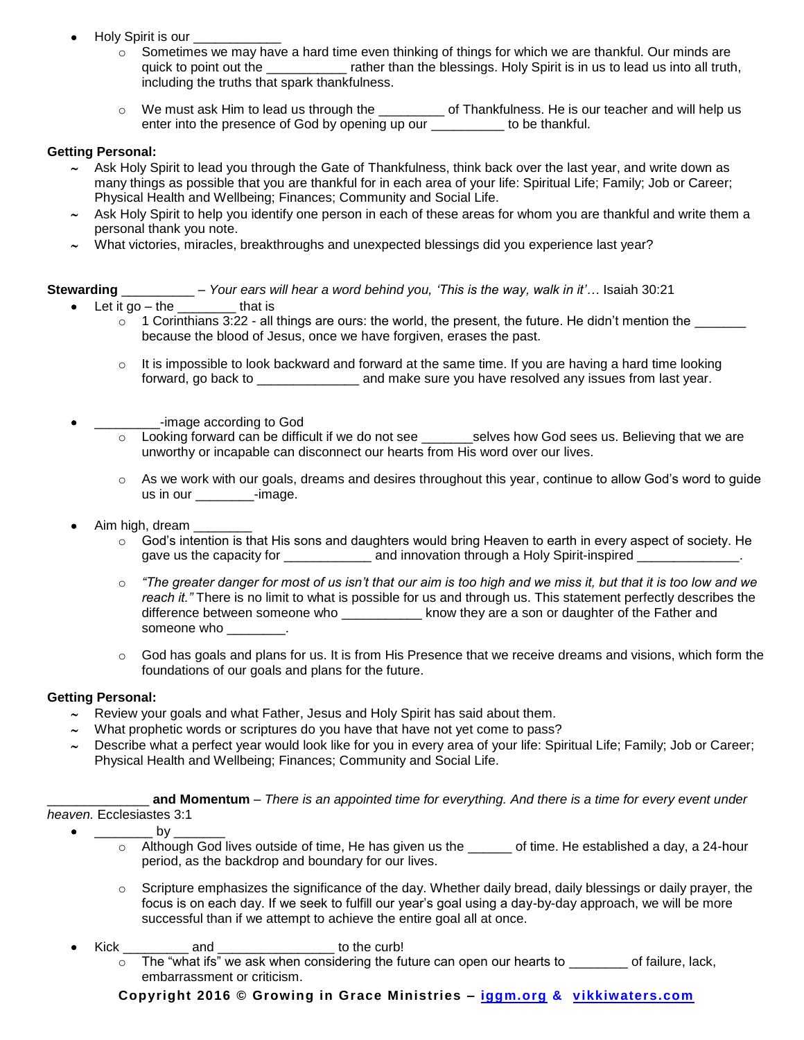- Holy Spirit is our
	- $\circ$  Sometimes we may have a hard time even thinking of things for which we are thankful. Our minds are quick to point out the \_\_\_\_\_\_\_\_\_\_\_\_ rather than the blessings. Holy Spirit is in us to lead us into all truth, including the truths that spark thankfulness.
	- o We must ask Him to lead us through the \_\_\_\_\_\_\_\_\_ of Thankfulness. He is our teacher and will help us enter into the presence of God by opening up our \_\_\_\_\_\_\_\_\_\_ to be thankful.

#### **Getting Personal:**

- Ask Holy Spirit to lead you through the Gate of Thankfulness, think back over the last year, and write down as many things as possible that you are thankful for in each area of your life: Spiritual Life; Family; Job or Career; Physical Health and Wellbeing; Finances; Community and Social Life.
- Ask Holy Spirit to help you identify one person in each of these areas for whom you are thankful and write them a personal thank you note.
- What victories, miracles, breakthroughs and unexpected blessings did you experience last year?

## **Stewarding** \_\_\_\_\_\_\_\_\_\_ – *Your ears will hear a word behind you, 'This is the way, walk in it'…* Isaiah 30:21

- Let it go the  $\frac{1}{2}$  that is
	- $\circ$  1 Corinthians 3:22 all things are ours: the world, the present, the future. He didn't mention the  $\Box$ because the blood of Jesus, once we have forgiven, erases the past.
		- $\circ$  It is impossible to look backward and forward at the same time. If you are having a hard time looking forward, go back to **come and make sure you have resolved any issues from last year.**
- -image according to God
	- o Looking forward can be difficult if we do not see \_\_\_\_\_\_\_selves how God sees us. Believing that we are unworthy or incapable can disconnect our hearts from His word over our lives.
	- $\circ$  As we work with our goals, dreams and desires throughout this year, continue to allow God's word to guide us in our e-image.
- Aim high, dream
	- $\circ$  God's intention is that His sons and daughters would bring Heaven to earth in every aspect of society. He gave us the capacity for \_\_\_\_\_\_\_\_\_\_\_\_\_\_ and innovation through a Holy Spirit-inspired \_\_\_\_\_\_\_\_\_\_\_\_\_\_.
	- o *"The greater danger for most of us isn't that our aim is too high and we miss it, but that it is too low and we reach it."* There is no limit to what is possible for us and through us. This statement perfectly describes the difference between someone who \_\_\_\_\_\_\_\_\_\_\_\_ know they are a son or daughter of the Father and someone who who when  $\sim$
	- $\circ$  God has goals and plans for us. It is from His Presence that we receive dreams and visions, which form the foundations of our goals and plans for the future.

# **Getting Personal:**

- $\sim$  Review your goals and what Father, Jesus and Holy Spirit has said about them.
- What prophetic words or scriptures do you have that have not yet come to pass?
- Describe what a perfect year would look like for you in every area of your life: Spiritual Life; Family; Job or Career; Physical Health and Wellbeing; Finances; Community and Social Life.

\_\_\_\_\_\_\_\_\_\_\_\_\_\_ **and Momentum** – *There is an appointed time for everything. And there is a time for every event under heaven.* Ecclesiastes 3:1

 $\bullet$  by

- $\circ$  Although God lives outside of time, He has given us the  $\circ$  of time. He established a day, a 24-hour period, as the backdrop and boundary for our lives.
- $\circ$  Scripture emphasizes the significance of the day. Whether daily bread, daily blessings or daily prayer, the focus is on each day. If we seek to fulfill our year's goal using a day-by-day approach, we will be more successful than if we attempt to achieve the entire goal all at once.
- Kick and and to the curb!
	- $\circ$  The "what ifs" we ask when considering the future can open our hearts to  $\circ$  of failure, lack, embarrassment or criticism.

**Copyright 2016 © Growing in Grace Ministries – iggm.org & vikkiwaters.com**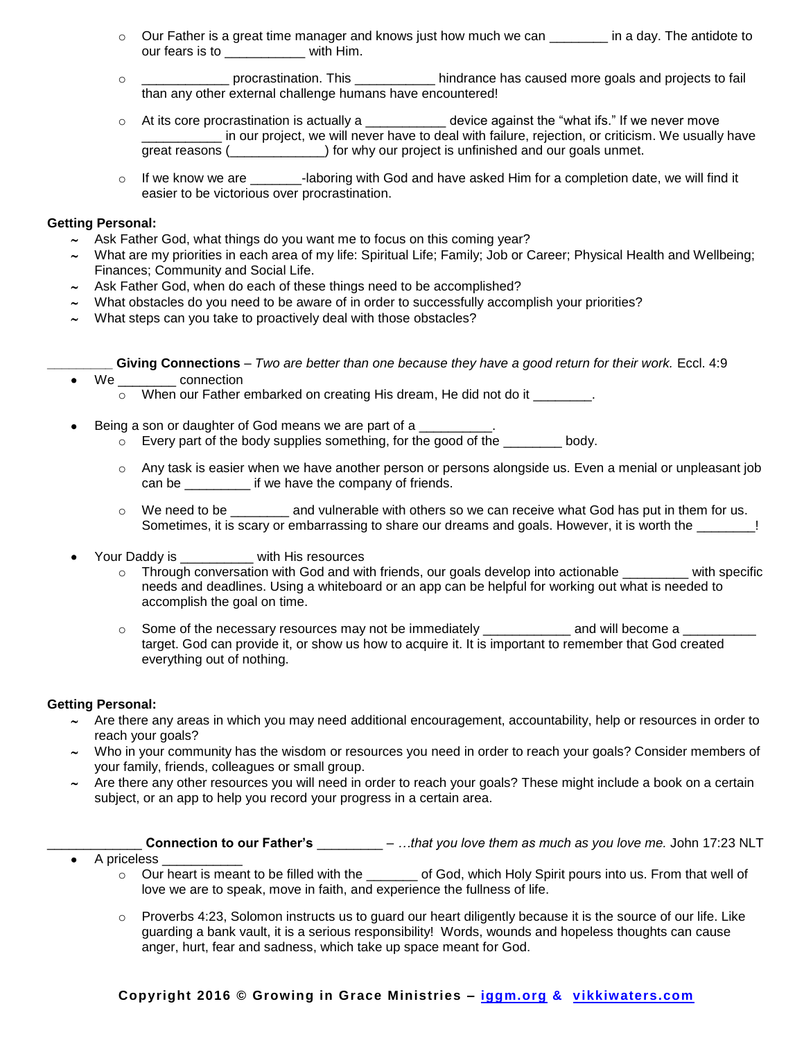- $\circ$  Our Father is a great time manager and knows just how much we can  $\sim$  in a day. The antidote to our fears is to **with Him.**
- o \_\_\_\_\_\_\_\_\_\_\_\_ procrastination. This \_\_\_\_\_\_\_\_\_\_\_ hindrance has caused more goals and projects to fail than any other external challenge humans have encountered!
- $\circ$  At its core procrastination is actually a  $\bullet$  device against the "what ifs." If we never move \_\_\_\_\_\_\_\_\_\_\_ in our project, we will never have to deal with failure, rejection, or criticism. We usually have great reasons ( $\qquad \qquad$  ) for why our project is unfinished and our goals unmet.
- o If we know we are \_\_\_\_\_\_-laboring with God and have asked Him for a completion date, we will find it easier to be victorious over procrastination.

### **Getting Personal:**

- $\sim$  Ask Father God, what things do you want me to focus on this coming year?
- What are my priorities in each area of my life: Spiritual Life; Family; Job or Career; Physical Health and Wellbeing; Finances; Community and Social Life.
- Ask Father God, when do each of these things need to be accomplished?
- What obstacles do you need to be aware of in order to successfully accomplish your priorities?
- What steps can you take to proactively deal with those obstacles?

**\_\_\_\_\_\_\_\_\_ Giving Connections** – *Two are better than one because they have a good return for their work.* Eccl. 4:9

- We connection
	- When our Father embarked on creating His dream, He did not do it \_\_\_\_\_\_\_\_.
- Being a son or daughter of God means we are part of a
	- o Every part of the body supplies something, for the good of the \_\_\_\_\_\_\_\_ body.
	- o Any task is easier when we have another person or persons alongside us. Even a menial or unpleasant job can be \_\_\_\_\_\_\_\_\_ if we have the company of friends.
	- $\circ$  We need to be  $\bullet$  and vulnerable with others so we can receive what God has put in them for us. Sometimes, it is scary or embarrassing to share our dreams and goals. However, it is worth the \_\_\_\_\_\_\_!
- Your Daddy is \_\_\_\_\_\_\_\_\_\_ with His resources
	- $\circ$  Through conversation with God and with friends, our goals develop into actionable  $\bullet$  with specific needs and deadlines. Using a whiteboard or an app can be helpful for working out what is needed to accomplish the goal on time.
	- o Some of the necessary resources may not be immediately \_\_\_\_\_\_\_\_\_\_\_\_\_\_\_ and will become a target. God can provide it, or show us how to acquire it. It is important to remember that God created everything out of nothing.

# **Getting Personal:**

- $\sim$  Are there any areas in which you may need additional encouragement, accountability, help or resources in order to reach your goals?
- $\sim$  Who in your community has the wisdom or resources you need in order to reach your goals? Consider members of your family, friends, colleagues or small group.
- Are there any other resources you will need in order to reach your goals? These might include a book on a certain subject, or an app to help you record your progress in a certain area.

# \_\_\_\_\_\_\_\_\_\_\_\_\_ **Connection to our Father's** \_\_\_\_\_\_\_\_\_ – *…that you love them as much as you love me.* John 17:23 NLT

- A priceless
	- o Our heart is meant to be filled with the \_\_\_\_\_\_\_ of God, which Holy Spirit pours into us. From that well of love we are to speak, move in faith, and experience the fullness of life.
	- o Proverbs 4:23, Solomon instructs us to guard our heart diligently because it is the source of our life. Like guarding a bank vault, it is a serious responsibility! Words, wounds and hopeless thoughts can cause anger, hurt, fear and sadness, which take up space meant for God.